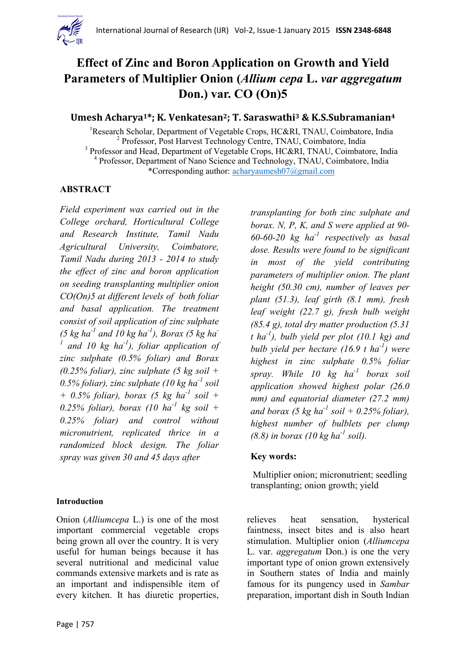

# **Effect of Zinc and Boron Application on Growth and Yield Parameters of Multiplier Onion (***Allium cepa* **L.** *var aggregatum* **Don.) var. CO (On)5**

### **Umesh Acharya1\*; K. Venkatesan2; T. Saraswathi<sup>3</sup> & K.S.Subramanian<sup>4</sup>**

<sup>1</sup>Research Scholar, Department of Vegetable Crops, HC&RI, TNAU, Coimbatore, India <sup>2</sup> Professor, Post Harvest Technology Centre, TNAU, Coimbatore, India <sup>3</sup> Professor and Head, Department of Vegetable Crops, HC&RI, TNAU, Coimbatore, India <sup>4</sup> Professor, Department of Nano Science and Technology, TNAU, Coimbatore, India \*Corresponding author: [acharyaumesh07@gmail.com](mailto:acharyaumesh07@gmail.com)

#### **ABSTRACT**

*Field experiment was carried out in the College orchard, Horticultural College and Research Institute, Tamil Nadu Agricultural University, Coimbatore, Tamil Nadu during 2013 - 2014 to study the effect of zinc and boron application on seeding transplanting multiplier onion CO(On)5 at different levels of both foliar and basal application. The treatment consist of soil application of zinc sulphate (5 kg ha-1 and 10 kg ha-1 ), Borax (5 kg ha-1 and 10 kg ha-1 ), foliar application of zinc sulphate (0.5% foliar) and Borax (0.25% foliar), zinc sulphate (5 kg soil + 0.5% foliar), zinc sulphate (10 kg ha-1 soil + 0.5% foliar), borax (5 kg ha-1 soil + 0.25% foliar), borax (10 ha-1 kg soil + 0.25% foliar) and control without micronutrient, replicated thrice in a randomized block design. The foliar spray was given 30 and 45 days after* 

#### **Introduction**

Onion (*Alliumcepa* L.) is one of the most important commercial vegetable crops being grown all over the country. It is very useful for human beings because it has several nutritional and medicinal value commands extensive markets and is rate as an important and indispensible item of every kitchen. It has diuretic properties,

*transplanting for both zinc sulphate and borax. N, P, K, and S were applied at 90- 60-60-20 kg ha-1 respectively as basal dose. Results were found to be significant in most of the yield contributing parameters of multiplier onion. The plant height (50.30 cm), number of leaves per plant (51.3), leaf girth (8.1 mm), fresh leaf weight (22.7 g), fresh bulb weight (85.4 g), total dry matter production (5.31 t ha-1 ), bulb yield per plot (10.1 kg) and bulb yield per hectare (16.9 t ha-1 ) were highest in zinc sulphate 0.5% foliar spray. While 10 kg ha-1 borax soil application showed highest polar (26.0 mm) and equatorial diameter (27.2 mm)*  and borax (5 kg ha<sup>-1</sup> soil + 0.25% foliar), *highest number of bulblets per clump (8.8) in borax (10 kg ha-1 soil).* 

#### **Key words:**

Multiplier onion; micronutrient; seedling transplanting; onion growth; yield

relieves heat sensation, hysterical faintness, insect bites and is also heart stimulation. Multiplier onion (*Alliumcepa* L. var. *aggregatum* Don.) is one the very important type of onion grown extensively in Southern states of India and mainly famous for its pungency used in *Sambar* preparation, important dish in South Indian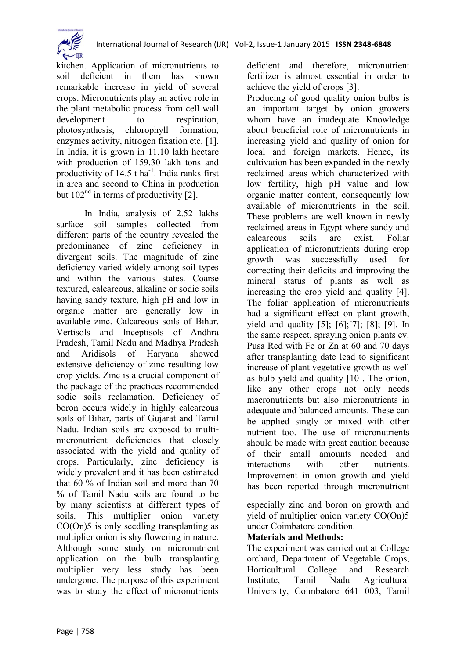kitchen. Application of micronutrients to soil deficient in them has shown remarkable increase in yield of several crops. Micronutrients play an active role in the plant metabolic process from cell wall development to respiration, photosynthesis, chlorophyll formation, enzymes activity, nitrogen fixation etc. [1]. In India, it is grown in 11.10 lakh hectare with production of 159.30 lakh tons and productivity of  $14.5$  t ha<sup>-1</sup>. India ranks first in area and second to China in production but  $102<sup>nd</sup>$  in terms of productivity [2].

In India, analysis of 2.52 lakhs surface soil samples collected from different parts of the country revealed the predominance of zinc deficiency in divergent soils. The magnitude of zinc deficiency varied widely among soil types and within the various states. Coarse textured, calcareous, alkaline or sodic soils having sandy texture, high pH and low in organic matter are generally low in available zinc. Calcareous soils of Bihar, Vertisols and Inceptisols of Andhra Pradesh, Tamil Nadu and Madhya Pradesh and Aridisols of Haryana showed extensive deficiency of zinc resulting low crop yields. Zinc is a crucial component of the package of the practices recommended sodic soils reclamation. Deficiency of boron occurs widely in highly calcareous soils of Bihar, parts of Gujarat and Tamil Nadu. Indian soils are exposed to multimicronutrient deficiencies that closely associated with the yield and quality of crops. Particularly, zinc deficiency is widely prevalent and it has been estimated that 60 % of Indian soil and more than 70 % of Tamil Nadu soils are found to be by many scientists at different types of soils. This multiplier onion variety CO(On)5 is only seedling transplanting as multiplier onion is shy flowering in nature. Although some study on micronutrient application on the bulb transplanting multiplier very less study has been undergone. The purpose of this experiment was to study the effect of micronutrients

deficient and therefore, micronutrient fertilizer is almost essential in order to achieve the yield of crops [3].

Producing of good quality onion bulbs is an important target by onion growers whom have an inadequate Knowledge about beneficial role of micronutrients in increasing yield and quality of onion for local and foreign markets. Hence, its cultivation has been expanded in the newly reclaimed areas which characterized with low fertility, high pH value and low organic matter content, consequently low available of micronutrients in the soil. These problems are well known in newly reclaimed areas in Egypt where sandy and calcareous soils are exist. Foliar application of micronutrients during crop growth was successfully used for correcting their deficits and improving the mineral status of plants as well as increasing the crop yield and quality [4]. The foliar application of micronutrients had a significant effect on plant growth, yield and quality [5]; [6];[7]; [8]; [9]. In the same respect, spraying onion plants cv. Pusa Red with Fe or Zn at 60 and 70 days after transplanting date lead to significant increase of plant vegetative growth as well as bulb yield and quality [10]. The onion, like any other crops not only needs macronutrients but also micronutrients in adequate and balanced amounts. These can be applied singly or mixed with other nutrient too. The use of micronutrients should be made with great caution because of their small amounts needed and interactions with other nutrients. Improvement in onion growth and yield has been reported through micronutrient

especially zinc and boron on growth and yield of multiplier onion variety CO(On)5 under Coimbatore condition.

## **Materials and Methods:**

The experiment was carried out at College orchard, Department of Vegetable Crops, Horticultural College and Research Institute, Tamil Nadu Agricultural University, Coimbatore 641 003, Tamil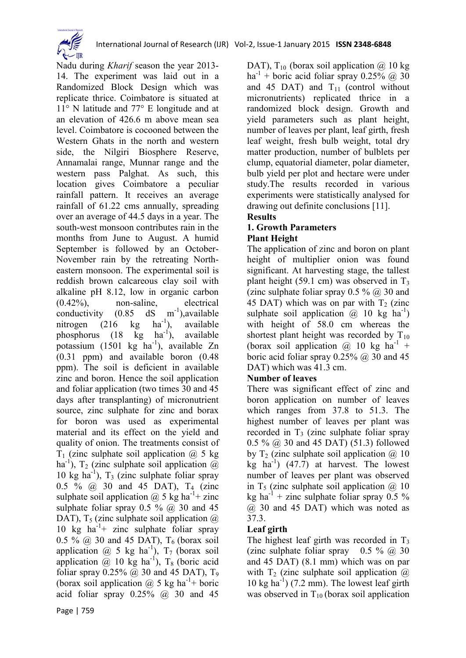

Nadu during *Kharif* season the year 2013- 14. The experiment was laid out in a Randomized Block Design which was replicate thrice. Coimbatore is situated at 11° N latitude and 77° E longitude and at an elevation of 426.6 m above mean sea level. Coimbatore is cocooned between the Western Ghats in the north and western side, the Nilgiri Biosphere Reserve, Annamalai range, Munnar range and the western pass Palghat. As such, this location gives Coimbatore a peculiar rainfall pattern. It receives an average rainfall of 61.22 cms annually, spreading over an average of 44.5 days in a year. The south-west monsoon contributes rain in the months from June to August. A humid September is followed by an October-November rain by the retreating Northeastern monsoon. The experimental soil is reddish brown calcareous clay soil with alkaline pH 8.12, low in organic carbon (0.42%), non-saline, electrical conductivity  $(0.85 \text{ dS} \text{ m})$ <br>nitrogen  $(216 \text{ kg} \text{ h} \text{a}^{-1})$ ,  $dS$  m<sup>-1</sup>), available nitrogen  $(216 \text{ kg})$ ), available phosphorus  $(18 \text{ kg} \text{ ha}^{-1})$ , ), available potassium (1501 kg ha<sup>-1</sup>), available Zn (0.31 ppm) and available boron (0.48 ppm). The soil is deficient in available zinc and boron. Hence the soil application and foliar application (two times 30 and 45 days after transplanting) of micronutrient source, zinc sulphate for zinc and borax for boron was used as experimental material and its effect on the yield and quality of onion. The treatments consist of  $T_1$  (zinc sulphate soil application  $\omega$  5 kg ha<sup>-1</sup>), T<sub>2</sub> (zinc sulphate soil application  $\ddot{\omega}$ 10 kg ha<sup>-1</sup>),  $T_3$  (zinc sulphate foliar spray 0.5 % @ 30 and 45 DAT), T<sub>4</sub> (zinc sulphate soil application  $\omega$  5 kg ha<sup>-1</sup>+ zinc sulphate foliar spray  $0.5 \%$  @ 30 and 45 DAT),  $T_5$  (zinc sulphate soil application  $\omega$ ) 10 kg  $ha^{-1}$ + zinc sulphate foliar spray 0.5 %  $\omega$  30 and 45 DAT), T<sub>6</sub> (borax soil application  $\omega$  5 kg ha<sup>-1</sup>),  $T_7$  (borax soil application  $\omega$  10 kg ha<sup>-1</sup>), T<sub>8</sub> (boric acid foliar spray  $0.25\%$  ( $\omega$ ) 30 and 45 DAT), T<sub>9</sub> (borax soil application  $\omega$  5 kg ha<sup>-1</sup>+ boric acid foliar spray  $0.25\%$   $\omega$  30 and 45

DAT),  $T_{10}$  (borax soil application  $\omega$  10 kg ha<sup>-1</sup> + boric acid foliar spray  $0.25\%$  @ 30 and 45 DAT) and  $T_{11}$  (control without micronutrients) replicated thrice in a randomized block design. Growth and yield parameters such as plant height, number of leaves per plant, leaf girth, fresh leaf weight, fresh bulb weight, total dry matter production, number of bulblets per clump, equatorial diameter, polar diameter, bulb yield per plot and hectare were under study.The results recorded in various experiments were statistically analysed for drawing out definite conclusions [11].

## **Results**

#### **1. Growth Parameters Plant Height**

The application of zinc and boron on plant height of multiplier onion was found significant. At harvesting stage, the tallest plant height (59.1 cm) was observed in  $T_3$ (zinc sulphate foliar spray  $0.5 \%$   $\omega$  30 and 45 DAT) which was on par with  $T_2$  (zinc sulphate soil application  $\overline{a}$  10 kg ha<sup>-1</sup>) with height of 58.0 cm whereas the shortest plant height was recorded by  $T_{10}$ (borax soil application  $\omega$  10 kg ha<sup>-1</sup> + boric acid foliar spray  $0.25\%$   $\omega$  30 and 45 DAT) which was 41.3 cm.

## **Number of leaves**

There was significant effect of zinc and boron application on number of leaves which ranges from 37.8 to 51.3. The highest number of leaves per plant was recorded in  $T_3$  (zinc sulphate foliar spray 0.5 % @ 30 and 45 DAT) (51.3) followed by  $T_2$  (zinc sulphate soil application  $\omega$  10  $kg$  ha<sup>-1</sup>) (47.7) at harvest. The lowest number of leaves per plant was observed in  $T_5$  (zinc sulphate soil application  $\omega$  10 kg ha<sup>-1</sup> + zinc sulphate foliar spray  $0.5\%$ @ 30 and 45 DAT) which was noted as 37.3.

### **Leaf girth**

The highest leaf girth was recorded in  $T_3$ (zinc sulphate foliar spray  $0.5 \%$   $\omega$  30 and 45 DAT) (8.1 mm) which was on par with  $T_2$  (zinc sulphate soil application  $\omega$ )  $10 \text{ kg ha}^{-1}$ ) (7.2 mm). The lowest leaf girth was observed in  $T_{10}$  (borax soil application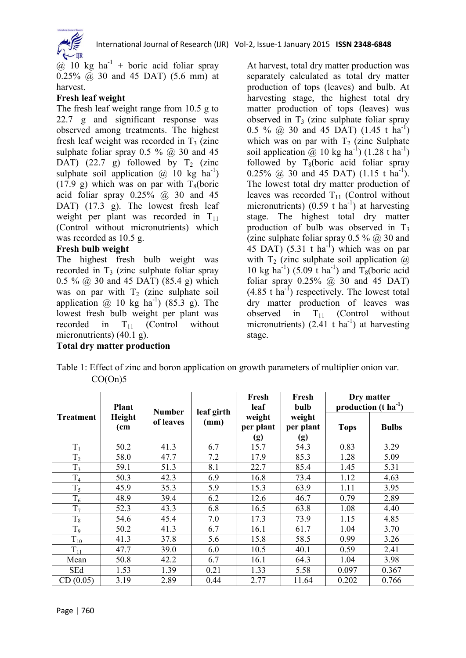

 $\overline{a}$  10 kg ha<sup>-1</sup> + boric acid foliar spray 0.25% @ 30 and 45 DAT) (5.6 mm) at harvest.

#### **Fresh leaf weight**

The fresh leaf weight range from 10.5 g to 22.7 g and significant response was observed among treatments. The highest fresh leaf weight was recorded in  $T_3$  (zinc sulphate foliar spray  $0.5 \%$  @ 30 and 45 DAT) (22.7 g) followed by  $T_2$  (zinc sulphate soil application  $\omega$  10 kg ha<sup>-1</sup>) (17.9 g) which was on par with  $T_8(boric)$ acid foliar spray  $0.25\%$   $\omega$  30 and 45 DAT) (17.3 g). The lowest fresh leaf weight per plant was recorded in  $T_{11}$ (Control without micronutrients) which was recorded as 10.5 g.

#### **Fresh bulb weight**

The highest fresh bulb weight was recorded in  $T_3$  (zinc sulphate foliar spray 0.5 %  $\omega$  30 and 45 DAT) (85.4 g) which was on par with  $T_2$  (zinc sulphate soil application  $\omega$  10 kg ha<sup>-1</sup>) (85.3 g). The lowest fresh bulb weight per plant was recorded in  $T_{11}$  (Control without micronutrients) (40.1 g).

**Total dry matter production** 

At harvest, total dry matter production was separately calculated as total dry matter production of tops (leaves) and bulb. At harvesting stage, the highest total dry matter production of tops (leaves) was observed in  $T_3$  (zinc sulphate foliar spray 0.5 %  $\omega$  30 and 45 DAT) (1.45 t ha<sup>-1</sup>) which was on par with  $T_2$  (zinc Sulphate soil application @ 10 kg ha<sup>-1</sup>)  $(1.28 \text{ t} \text{ ha}^{-1})$ followed by  $T_8$ (boric acid foliar spray 0.25%  $\omega$  30 and 45 DAT) (1.15 t ha<sup>-1</sup>). The lowest total dry matter production of leaves was recorded  $T_{11}$  (Control without micronutrients) (0.59 t ha<sup>-1</sup>) at harvesting stage. The highest total dry matter production of bulb was observed in  $T_3$ (zinc sulphate foliar spray  $0.5 \%$   $\omega$  30 and 45 DAT)  $(5.31 \text{ t} \text{ ha}^{-1})$  which was on par with  $T_2$  (zinc sulphate soil application  $\omega$ ) 10 kg ha<sup>-1</sup>) (5.09 t ha<sup>-1</sup>) and  $T_8$ (boric acid foliar spray  $0.25\%$  ( $\omega$ ) 30 and 45 DAT)  $(4.85 \text{ t} \text{ ha}^{-1})$  respectively. The lowest total dry matter production of leaves was observed in  $T_{11}$  (Control without micronutrients)  $(2.41 \text{ t} \text{ ha}^{-1})$  at harvesting stage.

| Table 1: Effect of zinc and boron application on growth parameters of multiplier onion var. |  |  |
|---------------------------------------------------------------------------------------------|--|--|
| CO(On)5                                                                                     |  |  |

| <b>Treatment</b> | <b>Plant</b><br>Height<br>(cm | <b>Number</b><br>of leaves | leaf girth<br>(mm) | Fresh<br>leaf              | Fresh<br>bulb              | Dry matter<br>production $(t \text{ ha}^{-1})$ |              |
|------------------|-------------------------------|----------------------------|--------------------|----------------------------|----------------------------|------------------------------------------------|--------------|
|                  |                               |                            |                    | weight<br>per plant<br>(g) | weight<br>per plant<br>(g) | <b>Tops</b>                                    | <b>Bulbs</b> |
| $T_1$            | 50.2                          | 41.3                       | 6.7                | 15.7                       | 54.3                       | 0.83                                           | 3.29         |
| T <sub>2</sub>   | 58.0                          | 47.7                       | 7.2                | 17.9                       | 85.3                       | 1.28                                           | 5.09         |
| $T_3$            | 59.1                          | 51.3                       | 8.1                | 22.7                       | 85.4                       | 1.45                                           | 5.31         |
| T <sub>4</sub>   | 50.3                          | 42.3                       | 6.9                | 16.8                       | 73.4                       | 1.12                                           | 4.63         |
| $T_5$            | 45.9                          | 35.3                       | 5.9                | 15.3                       | 63.9                       | 1.11                                           | 3.95         |
| $T_6$            | 48.9                          | 39.4                       | 6.2                | 12.6                       | 46.7                       | 0.79                                           | 2.89         |
| T <sub>7</sub>   | 52.3                          | 43.3                       | 6.8                | 16.5                       | 63.8                       | 1.08                                           | 4.40         |
| $T_8$            | 54.6                          | 45.4                       | 7.0                | 17.3                       | 73.9                       | 1.15                                           | 4.85         |
| T <sub>9</sub>   | 50.2                          | 41.3                       | 6.7                | 16.1                       | 61.7                       | 1.04                                           | 3.70         |
| $T_{10}$         | 41.3                          | 37.8                       | 5.6                | 15.8                       | 58.5                       | 0.99                                           | 3.26         |
| $T_{11}$         | 47.7                          | 39.0                       | 6.0                | 10.5                       | 40.1                       | 0.59                                           | 2.41         |
| Mean             | 50.8                          | 42.2                       | 6.7                | 16.1                       | 64.3                       | 1.04                                           | 3.98         |
| SEd              | 1.53                          | 1.39                       | 0.21               | 1.33                       | 5.58                       | 0.097                                          | 0.367        |
| CD(0.05)         | 3.19                          | 2.89                       | 0.44               | 2.77                       | 11.64                      | 0.202                                          | 0.766        |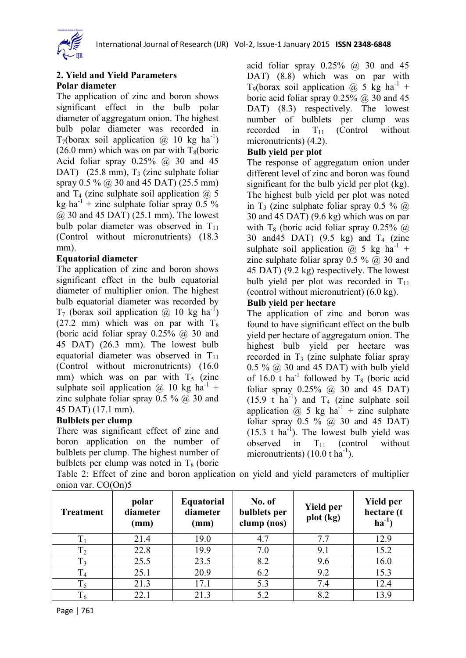

#### **2. Yield and Yield Parameters Polar diameter**

The application of zinc and boron shows significant effect in the bulb polar diameter of aggregatum onion. The highest bulb polar diameter was recorded in  $T_7$ (borax soil application @ 10 kg ha<sup>-1</sup>) (26.0 mm) which was on par with  $T_8$ (boric Acid foliar spray  $0.25\%$  @ 30 and 45 DAT) (25.8 mm),  $T_3$  (zinc sulphate foliar spray 0.5 % @ 30 and 45 DAT) (25.5 mm) and  $T_4$  (zinc sulphate soil application  $\omega$ ) 5 kg ha<sup>-1</sup> + zinc sulphate foliar spray  $0.5\%$ @ 30 and 45 DAT) (25.1 mm). The lowest bulb polar diameter was observed in  $T_{11}$ (Control without micronutrients) (18.3 mm).

#### **Equatorial diameter**

The application of zinc and boron shows significant effect in the bulb equatorial diameter of multiplier onion. The highest bulb equatorial diameter was recorded by  $T_7$  (borax soil application @ 10 kg ha<sup>-1</sup>) (27.2 mm) which was on par with  $T_8$ (boric acid foliar spray  $0.25\%$   $\omega$  30 and 45 DAT) (26.3 mm). The lowest bulb equatorial diameter was observed in  $T_{11}$ (Control without micronutrients) (16.0 mm) which was on par with  $T<sub>5</sub>$  (zinc sulphate soil application  $\omega$  10 kg ha<sup>-1</sup> + zinc sulphate foliar spray  $0.5 \%$   $\omega$  30 and 45 DAT) (17.1 mm).

#### **Bulblets per clump**

There was significant effect of zinc and boron application on the number of bulblets per clump. The highest number of bulblets per clump was noted in  $T_8$  (boric

acid foliar spray  $0.25\%$   $\omega$  30 and 45 DAT) (8.8) which was on par with T<sub>9</sub>(borax soil application  $@$  5 kg ha<sup>-1</sup> + boric acid foliar spray  $0.25\%$  ( $\omega$ ) 30 and 45 DAT) (8.3) respectively. The lowest number of bulblets per clump was recorded in  $T_{11}$  (Control without micronutrients) (4.2).

#### **Bulb yield per plot**

The response of aggregatum onion under different level of zinc and boron was found significant for the bulb yield per plot (kg). The highest bulb yield per plot was noted in T<sub>3</sub> (zinc sulphate foliar spray 0.5 %  $\omega$ ) 30 and 45 DAT) (9.6 kg) which was on par with  $T_8$  (boric acid foliar spray 0.25%  $\omega$ ) 30 and 45 DAT)  $(9.5 \text{ kg})$  and  $T_4$  (zinc sulphate soil application @ 5 kg ha<sup>-1</sup> + zinc sulphate foliar spray  $0.5 \%$   $\omega$  30 and 45 DAT) (9.2 kg) respectively. The lowest bulb yield per plot was recorded in  $T_{11}$ (control without micronutrient) (6.0 kg).

#### **Bulb yield per hectare**

The application of zinc and boron was found to have significant effect on the bulb yield per hectare of aggregatum onion. The highest bulb yield per hectare was recorded in  $T_3$  (zinc sulphate foliar spray  $0.5\%$  @ 30 and 45 DAT) with bulb yield of 16.0 t ha<sup>-1</sup> followed by  $T_8$  (boric acid foliar spray  $0.25\%$   $\omega$  30 and 45 DAT)  $(15.9 \text{ t} \text{ ha}^{-1})$  and  $T_4$  (zinc sulphate soil application @ 5 kg ha<sup>-1</sup> + zinc sulphate foliar spray  $0.5 \%$  @ 30 and 45 DAT)  $(15.3 \t{t} \text{ha}^{-1})$ . The lowest bulb yield was observed in  $T_{11}$  (control without micronutrients)  $(10.0 t \text{ ha}^{-1})$ .

| <b>Treatment</b> | polar<br>diameter<br>(mm) | <b>Equatorial</b><br>diameter<br>(mm) | No. of<br>bulblets per<br>clump (nos) | <b>Yield per</b><br>plot (kg) | <b>Yield per</b><br>hectare (t<br>$\mathbf{ha}^{-1}$ |
|------------------|---------------------------|---------------------------------------|---------------------------------------|-------------------------------|------------------------------------------------------|
| $T_1$            | 21.4                      | 19.0                                  | 4.7                                   | 7.7                           | 12.9                                                 |
| $T_2$            | 22.8                      | 19.9                                  | 7.0                                   | 9.1                           | 15.2                                                 |
| $T_3$            | 25.5                      | 23.5                                  | 8.2                                   | 9.6                           | 16.0                                                 |
| T <sub>4</sub>   | 25.1                      | 20.9                                  | 6.2                                   | 9.2                           | 15.3                                                 |
| $T_5$            | 21.3                      | 17.1                                  | 5.3                                   | 7.4                           | 12.4                                                 |
| $T_6$            | 22.1                      | 21.3                                  | 5.2                                   | 8.2                           | 13.9                                                 |

Table 2: Effect of zinc and boron application on yield and yield parameters of multiplier onion var. CO(On)5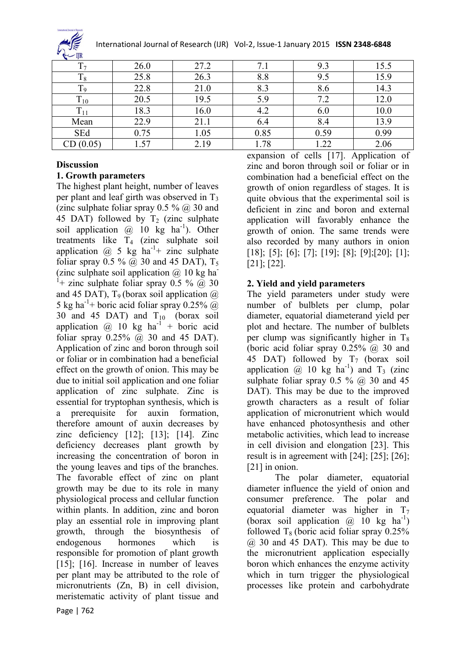

International Journal of Research (IJR) Vol-2, Issue-1 January 2015 **ISSN 2348-6848**

| $\sim$          |      |      |      |      |      |
|-----------------|------|------|------|------|------|
|                 | 26.0 | 27.2 |      | 9.3  | 15.5 |
| 18              | 25.8 | 26.3 | 8.8  | 9.5  | 15.9 |
| Ιq              | 22.8 | 21.0 | 8.3  | 8.6  | 14.3 |
| $T_{10}$        | 20.5 | 19.5 | 5.9  | 7.2  | 12.0 |
| 1 <sub>11</sub> | 18.3 | 16.0 | 4.2  | 6.0  | 10.0 |
| Mean            | 22.9 | 21.1 | 6.4  | 8.4  | 13.9 |
| SEd             | 0.75 | 1.05 | 0.85 | 0.59 | 0.99 |
| CD(0.05)        | .57  | 2.19 | 1.78 | 1.22 | 2.06 |

#### **Discussion**

#### **1. Growth parameters**

The highest plant height, number of leaves per plant and leaf girth was observed in  $T<sub>3</sub>$ (zinc sulphate foliar spray  $0.5 \%$   $\omega$  30 and 45 DAT) followed by  $T_2$  (zinc sulphate soil application  $@$  10 kg ha<sup>-1</sup>). Other treatments like  $T_4$  (zinc sulphate soil application  $\omega$  5 kg ha<sup>-1</sup>+ zinc sulphate foliar spray  $0.5 \%$  @ 30 and 45 DAT),  $T_5$ (zinc sulphate soil application  $\omega$  10 kg ha <sup>1</sup>+ zinc sulphate foliar spray  $0.5 \%$  @ 30 and 45 DAT),  $T_9$  (borax soil application  $\omega$ ) 5 kg ha<sup>-1</sup>+ boric acid foliar spray 0.25%  $\omega$ 30 and 45 DAT) and  $T_{10}$  (borax soil application  $\omega$  10 kg ha<sup>-1</sup> + boric acid foliar spray  $0.25\%$   $\omega$  30 and 45 DAT). Application of zinc and boron through soil or foliar or in combination had a beneficial effect on the growth of onion. This may be due to initial soil application and one foliar application of zinc sulphate. Zinc is essential for tryptophan synthesis, which is a prerequisite for auxin formation, therefore amount of auxin decreases by zinc deficiency [12]; [13]; [14]. Zinc deficiency decreases plant growth by increasing the concentration of boron in the young leaves and tips of the branches. The favorable effect of zinc on plant growth may be due to its role in many physiological process and cellular function within plants. In addition, zinc and boron play an essential role in improving plant growth, through the biosynthesis of endogenous hormones which is responsible for promotion of plant growth [15]; [16]. Increase in number of leaves per plant may be attributed to the role of micronutrients (Zn, B) in cell division, meristematic activity of plant tissue and

expansion of cells [17]. Application of zinc and boron through soil or foliar or in combination had a beneficial effect on the growth of onion regardless of stages. It is quite obvious that the experimental soil is deficient in zinc and boron and external application will favorably enhance the growth of onion. The same trends were also recorded by many authors in onion [18]; [5]; [6]; [7]; [19]; [8]; [9];[20]; [1]; [21]; [22].

#### **2. Yield and yield parameters**

The yield parameters under study were number of bulblets per clump, polar diameter, equatorial diameterand yield per plot and hectare. The number of bulblets per clump was significantly higher in  $T_8$ (boric acid foliar spray  $0.25\%$   $\omega$  30 and 45 DAT) followed by  $T_7$  (borax soil application  $\omega$  10 kg ha<sup>-1</sup>) and T<sub>3</sub> (zinc sulphate foliar spray  $0.5 \%$  @ 30 and 45 DAT). This may be due to the improved growth characters as a result of foliar application of micronutrient which would have enhanced photosynthesis and other metabolic activities, which lead to increase in cell division and elongation [23]. This result is in agreement with [24]; [25]; [26]; [21] in onion.

The polar diameter, equatorial diameter influence the yield of onion and consumer preference. The polar and equatorial diameter was higher in  $T_7$ (borax soil application  $\omega$  10 kg ha<sup>-1</sup>) followed  $T_8$  (boric acid foliar spray 0.25%) @ 30 and 45 DAT). This may be due to the micronutrient application especially boron which enhances the enzyme activity which in turn trigger the physiological processes like protein and carbohydrate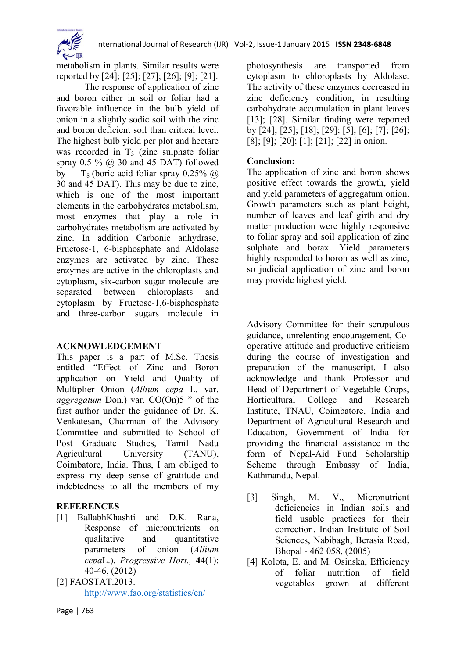

metabolism in plants. Similar results were reported by [24]; [25]; [27]; [26]; [9]; [21].

The response of application of zinc and boron either in soil or foliar had a favorable influence in the bulb yield of onion in a slightly sodic soil with the zinc and boron deficient soil than critical level. The highest bulb yield per plot and hectare was recorded in  $T_3$  (zinc sulphate foliar spray  $0.5 \%$  @ 30 and 45 DAT) followed by  $T_8$  (boric acid foliar spray 0.25%  $\omega$ ) 30 and 45 DAT). This may be due to zinc, which is one of the most important elements in the carbohydrates metabolism, most enzymes that play a role in carbohydrates metabolism are activated by zinc. In addition Carbonic anhydrase, Fructose-1, 6-bisphosphate and Aldolase enzymes are activated by zinc. These enzymes are active in the chloroplasts and cytoplasm, six-carbon sugar molecule are separated between chloroplasts and cytoplasm by Fructose-1,6-bisphosphate and three-carbon sugars molecule in

#### **ACKNOWLEDGEMENT**

This paper is a part of M.Sc. Thesis entitled "Effect of Zinc and Boron application on Yield and Quality of Multiplier Onion (*Allium cepa* L. var. *aggregatum* Don.) var. CO(On)5 " of the first author under the guidance of Dr. K. Venkatesan, Chairman of the Advisory Committee and submitted to School of Post Graduate Studies, Tamil Nadu Agricultural University (TANU), Coimbatore, India. Thus, I am obliged to express my deep sense of gratitude and indebtedness to all the members of my

## **REFERENCES**

- [1] BallabhKhashti and D.K. Rana, Response of micronutrients on qualitative and quantitative parameters of onion (*Allium cepa*L.). *Progressive Hort.,* **44**(1): 40-46, (2012)
- [2] FAOSTAT.2013. <http://www.fao.org/statistics/en/>

photosynthesis are transported from cytoplasm to chloroplasts by Aldolase. The activity of these enzymes decreased in zinc deficiency condition, in resulting carbohydrate accumulation in plant leaves [13]; [28]. Similar finding were reported by [24]; [25]; [18]; [29]; [5]; [6]; [7]; [26]; [8]; [9]; [20]; [1]; [21]; [22] in onion.

## **Conclusion:**

The application of zinc and boron shows positive effect towards the growth, yield and yield parameters of aggregatum onion. Growth parameters such as plant height, number of leaves and leaf girth and dry matter production were highly responsive to foliar spray and soil application of zinc sulphate and borax. Yield parameters highly responded to boron as well as zinc, so judicial application of zinc and boron may provide highest yield.

Advisory Committee for their scrupulous guidance, unrelenting encouragement, Cooperative attitude and productive criticism during the course of investigation and preparation of the manuscript. I also acknowledge and thank Professor and Head of Department of Vegetable Crops, Horticultural College and Research Institute, TNAU, Coimbatore, India and Department of Agricultural Research and Education, Government of India for providing the financial assistance in the form of Nepal-Aid Fund Scholarship Scheme through Embassy of India, Kathmandu, Nepal.

- [3] Singh, M. V., Micronutrient deficiencies in Indian soils and field usable practices for their correction. Indian Institute of Soil Sciences, Nabibagh, Berasia Road, Bhopal - 462 058, (2005)
- [4] Kolota, E. and M. Osinska, Efficiency of foliar nutrition of field vegetables grown at different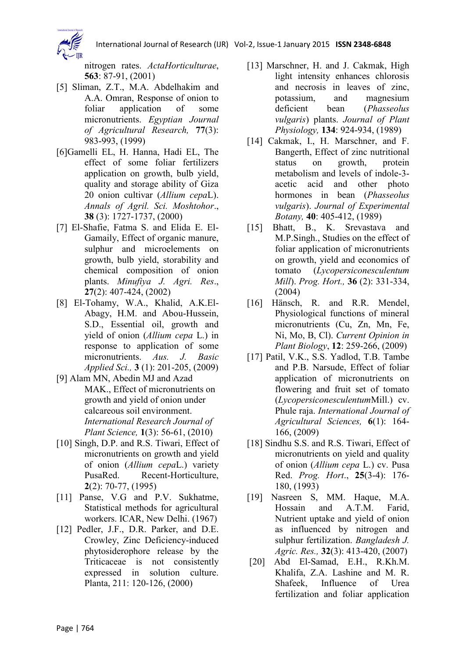

nitrogen rates. *ActaHorticulturae*, **563**: 87-91, (2001)

- [5] Sliman, Z.T., M.A. Abdelhakim and A.A. Omran, Response of onion to foliar application of some micronutrients. *Egyptian Journal of Agricultural Research,* **77**(3): 983-993, (1999)
- [6]Gamelli EL, H. Hanna, Hadi EL, The effect of some foliar fertilizers application on growth, bulb yield, quality and storage ability of Giza 20 onion cultivar (*Allium cepa*L). *Annals of Agril. Sci. Moshtohor*., **38** (3): 1727-1737, (2000)
- [7] El-Shafie, Fatma S. and Elida E. El-Gamaily, Effect of organic manure, sulphur and microelements on growth, bulb yield, storability and chemical composition of onion plants. *Minufiya J. Agri. Res*., **27**(2): 407-424, (2002)
- [8] El-Tohamy, W.A., Khalid, A.K.El-Abagy, H.M. and Abou-Hussein, S.D., Essential oil, growth and yield of onion (*Allium cepa* L.) in response to application of some micronutrients. *Aus. J. Basic Applied Sci.,* **3** (1): 201-205, (2009)
- [9] Alam MN, Abedin MJ and Azad MAK., Effect of micronutrients on growth and yield of onion under calcareous soil environment. *International Research Journal of Plant Science,* **1**(3): 56-61, (2010)
- [10] Singh, D.P. and R.S. Tiwari, Effect of micronutrients on growth and yield of onion (*Allium cepa*L.) variety PusaRed. Recent-Horticulture, **2**(2): 70-77, (1995)
- [11] Panse, V.G and P.V. Sukhatme, Statistical methods for agricultural workers. ICAR, New Delhi. (1967)
- [12] Pedler, J.F., D.R. Parker, and D.E. Crowley, Zinc Deficiency-induced phytosiderophore release by the Triticaceae is not consistently expressed in solution culture. Planta, 211: 120-126, (2000)
- [13] Marschner, H. and J. Cakmak, High light intensity enhances chlorosis and necrosis in leaves of zinc, potassium, and magnesium deficient bean (*Phasseolus vulgaris*) plants. *Journal of Plant Physiology,* **134**: 924-934, (1989)
- [14] Cakmak, I., H. Marschner, and F. Bangerth, Effect of zinc nutritional status on growth, protein metabolism and levels of indole-3 acetic acid and other photo hormones in bean (*Phasseolus vulgaris*). *Journal of Experimental Botany,* **40**: 405-412, (1989)
- [15] Bhatt, B., K. Srevastava and M.P.Singh., Studies on the effect of foliar application of micronutrients on growth, yield and economics of tomato (*Lycopersiconesculentum Mill*). *Prog. Hort.,* **36** (2): 331-334, (2004)
- [16] Hänsch, R. and R.R. Mendel, Physiological functions of mineral micronutrients (Cu, Zn, Mn, Fe, Ni, Mo, B, Cl). *Current Opinion in Plant Biology*, **12**: 259-266, (2009)
- [17] Patil, V.K., S.S. Yadlod, T.B. Tambe and P.B. Narsude, Effect of foliar application of micronutrients on flowering and fruit set of tomato (*Lycopersiconesculentum*Mill.) cv. Phule raja. *International Journal of Agricultural Sciences,* **6**(1): 164- 166, (2009)
- [18] Sindhu S.S. and R.S. Tiwari, Effect of micronutrients on yield and quality of onion (*Allium cepa* L.) cv. Pusa Red. *Prog. Hort*., **25**(3-4): 176- 180, (1993)
- [19] Nasreen S, MM. Haque, M.A. Hossain and A.T.M. Farid, Nutrient uptake and yield of onion as influenced by nitrogen and sulphur fertilization. *Bangladesh J. Agric. Res.,* **32**(3): 413-420, (2007)
- [20] Abd El-Samad, E.H., R.Kh.M. Khalifa, Z.A. Lashine and M. R. Shafeek, Influence of Urea fertilization and foliar application